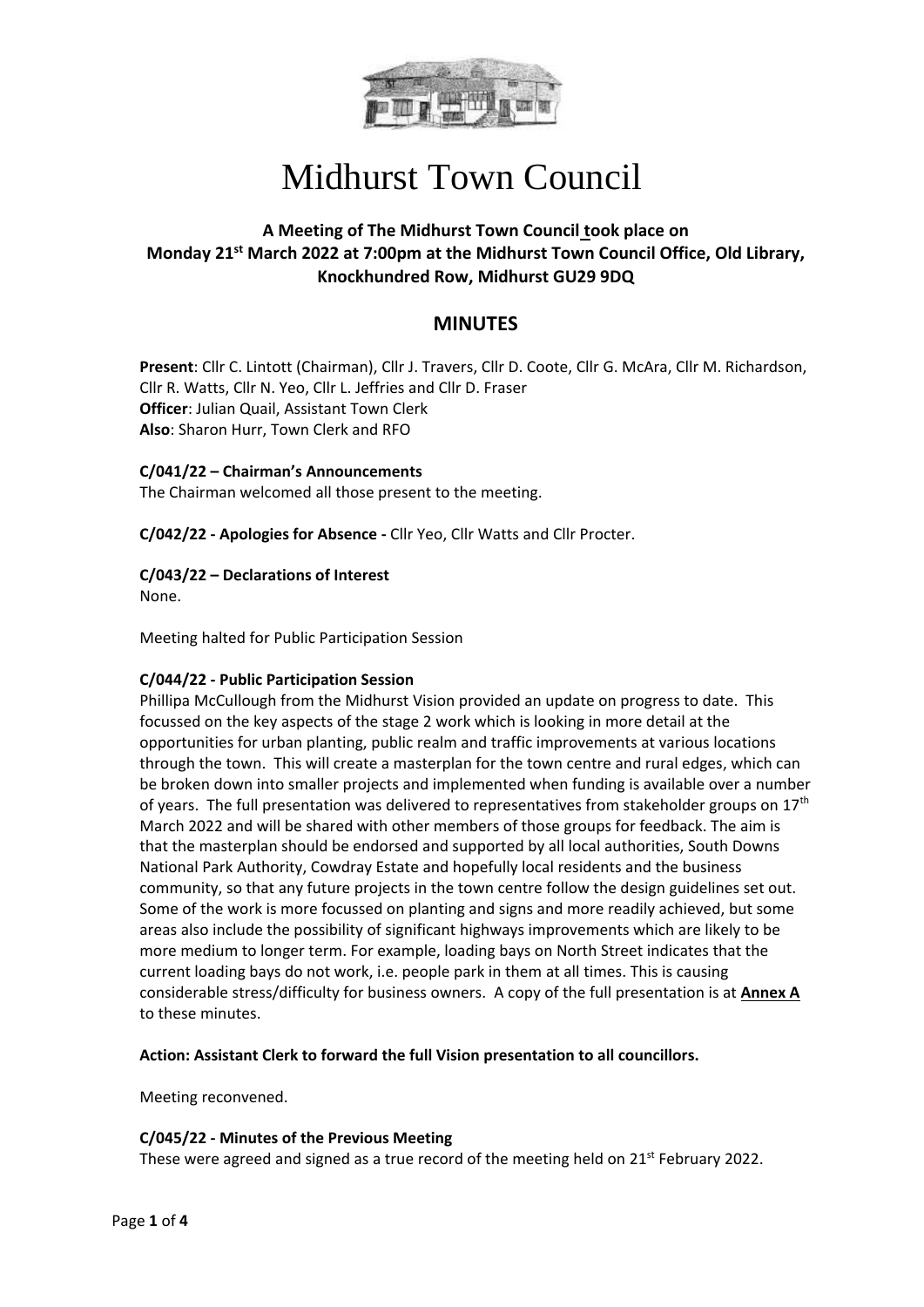

### **A Meeting of The Midhurst Town Council took place on Monday 21st March 2022 at 7:00pm at the Midhurst Town Council Office, Old Library, Knockhundred Row, Midhurst GU29 9DQ**

### **MINUTES**

**Present**: Cllr C. Lintott (Chairman), Cllr J. Travers, Cllr D. Coote, Cllr G. McAra, Cllr M. Richardson, Cllr R. Watts, Cllr N. Yeo, Cllr L. Jeffries and Cllr D. Fraser **Officer**: Julian Quail, Assistant Town Clerk **Also**: Sharon Hurr, Town Clerk and RFO

#### **C/041/22 – Chairman's Announcements**

The Chairman welcomed all those present to the meeting.

**C/042/22 - Apologies for Absence -** Cllr Yeo, Cllr Watts and Cllr Procter.

#### **C/043/22 – Declarations of Interest**

None.

Meeting halted for Public Participation Session

#### **C/044/22 - Public Participation Session**

Phillipa McCullough from the Midhurst Vision provided an update on progress to date. This focussed on the key aspects of the stage 2 work which is looking in more detail at the opportunities for urban planting, public realm and traffic improvements at various locations through the town. This will create a masterplan for the town centre and rural edges, which can be broken down into smaller projects and implemented when funding is available over a number of years. The full presentation was delivered to representatives from stakeholder groups on 17<sup>th</sup> March 2022 and will be shared with other members of those groups for feedback. The aim is that the masterplan should be endorsed and supported by all local authorities, South Downs National Park Authority, Cowdray Estate and hopefully local residents and the business community, so that any future projects in the town centre follow the design guidelines set out. Some of the work is more focussed on planting and signs and more readily achieved, but some areas also include the possibility of significant highways improvements which are likely to be more medium to longer term. For example, loading bays on North Street indicates that the current loading bays do not work, i.e. people park in them at all times. This is causing considerable stress/difficulty for business owners. A copy of the full presentation is at **Annex A** to these minutes.

**Action: Assistant Clerk to forward the full Vision presentation to all councillors.**

Meeting reconvened.

#### **C/045/22 - Minutes of the Previous Meeting**

These were agreed and signed as a true record of the meeting held on  $21^{st}$  February 2022.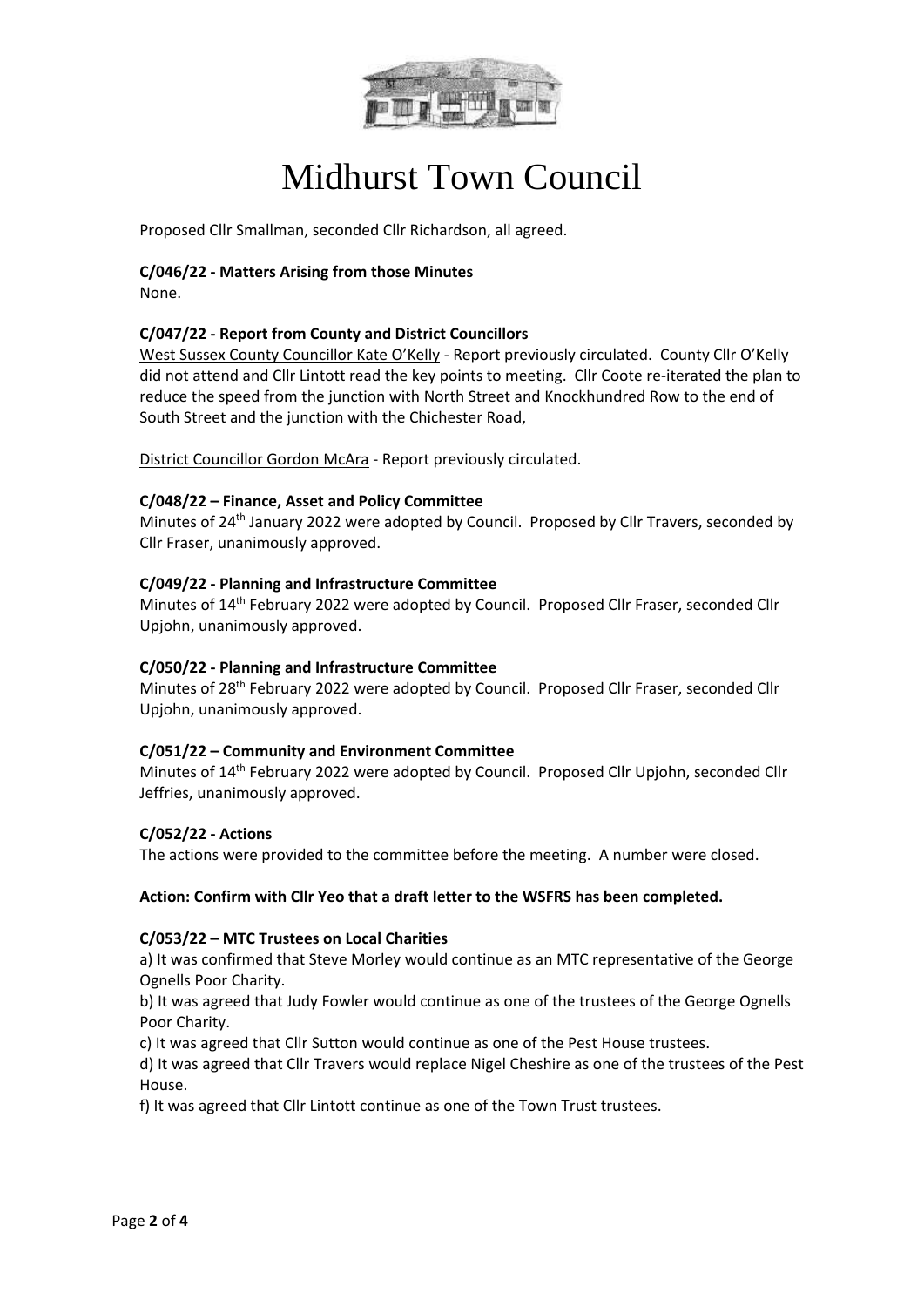

Proposed Cllr Smallman, seconded Cllr Richardson, all agreed.

### **C/046/22 - Matters Arising from those Minutes**

None.

#### **C/047/22 - Report from County and District Councillors**

West Sussex County Councillor Kate O'Kelly - Report previously circulated. County Cllr O'Kelly did not attend and Cllr Lintott read the key points to meeting. Cllr Coote re-iterated the plan to reduce the speed from the junction with North Street and Knockhundred Row to the end of South Street and the junction with the Chichester Road,

District Councillor Gordon McAra - Report previously circulated.

#### **C/048/22 – Finance, Asset and Policy Committee**

Minutes of 24<sup>th</sup> January 2022 were adopted by Council. Proposed by Cllr Travers, seconded by Cllr Fraser, unanimously approved.

#### **C/049/22 - Planning and Infrastructure Committee**

Minutes of 14th February 2022 were adopted by Council. Proposed Cllr Fraser, seconded Cllr Upjohn, unanimously approved.

#### **C/050/22 - Planning and Infrastructure Committee**

Minutes of 28th February 2022 were adopted by Council. Proposed Cllr Fraser, seconded Cllr Upjohn, unanimously approved.

#### **C/051/22 – Community and Environment Committee**

Minutes of 14<sup>th</sup> February 2022 were adopted by Council. Proposed Cllr Upjohn, seconded Cllr Jeffries, unanimously approved.

#### **C/052/22 - Actions**

The actions were provided to the committee before the meeting. A number were closed.

#### **Action: Confirm with Cllr Yeo that a draft letter to the WSFRS has been completed.**

#### **C/053/22 – MTC Trustees on Local Charities**

a) It was confirmed that Steve Morley would continue as an MTC representative of the George Ognells Poor Charity.

b) It was agreed that Judy Fowler would continue as one of the trustees of the George Ognells Poor Charity.

c) It was agreed that Cllr Sutton would continue as one of the Pest House trustees.

d) It was agreed that Cllr Travers would replace Nigel Cheshire as one of the trustees of the Pest House.

f) It was agreed that Cllr Lintott continue as one of the Town Trust trustees.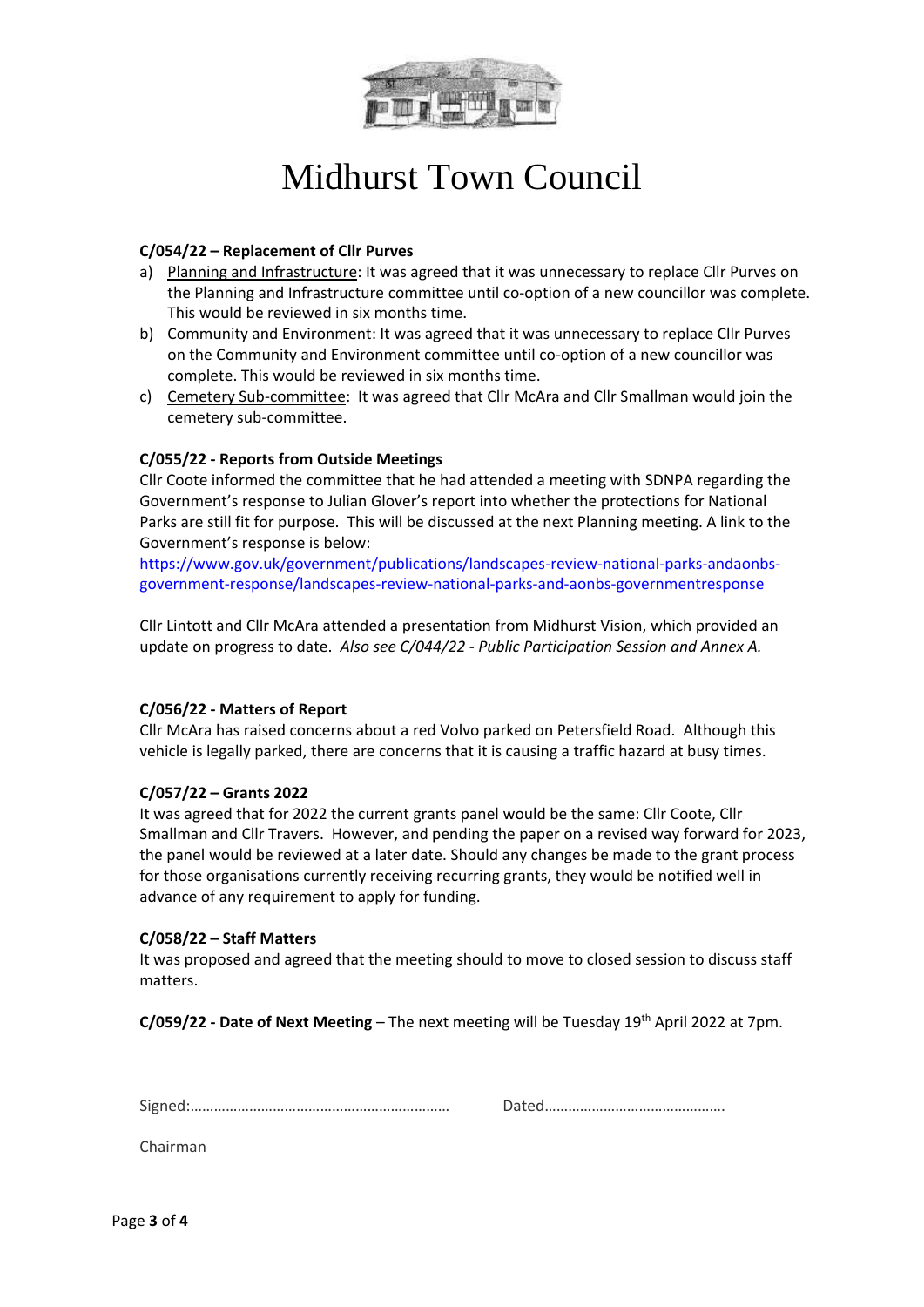

#### **C/054/22 – Replacement of Cllr Purves**

- a) Planning and Infrastructure: It was agreed that it was unnecessary to replace Cllr Purves on the Planning and Infrastructure committee until co-option of a new councillor was complete. This would be reviewed in six months time.
- b) Community and Environment: It was agreed that it was unnecessary to replace Cllr Purves on the Community and Environment committee until co-option of a new councillor was complete. This would be reviewed in six months time.
- c) Cemetery Sub-committee: It was agreed that Cllr McAra and Cllr Smallman would join the cemetery sub-committee.

#### **C/055/22 - Reports from Outside Meetings**

Cllr Coote informed the committee that he had attended a meeting with SDNPA regarding the Government's response to Julian Glover's report into whether the protections for National Parks are still fit for purpose. This will be discussed at the next Planning meeting. A link to the Government's response is below:

https://www.gov.uk/government/publications/landscapes-review-national-parks-andaonbsgovernment-response/landscapes-review-national-parks-and-aonbs-governmentresponse

Cllr Lintott and Cllr McAra attended a presentation from Midhurst Vision, which provided an update on progress to date. *Also see C/044/22 - Public Participation Session and Annex A.*

#### **C/056/22 - Matters of Report**

Cllr McAra has raised concerns about a red Volvo parked on Petersfield Road. Although this vehicle is legally parked, there are concerns that it is causing a traffic hazard at busy times.

#### **C/057/22 – Grants 2022**

It was agreed that for 2022 the current grants panel would be the same: Cllr Coote, Cllr Smallman and Cllr Travers. However, and pending the paper on a revised way forward for 2023, the panel would be reviewed at a later date. Should any changes be made to the grant process for those organisations currently receiving recurring grants, they would be notified well in advance of any requirement to apply for funding.

#### **C/058/22 – Staff Matters**

It was proposed and agreed that the meeting should to move to closed session to discuss staff matters.

**C/059/22 - Date of Next Meeting** – The next meeting will be Tuesday 19th April 2022 at 7pm.

Signed:………………………………………………………… Dated……………………………………….

Chairman